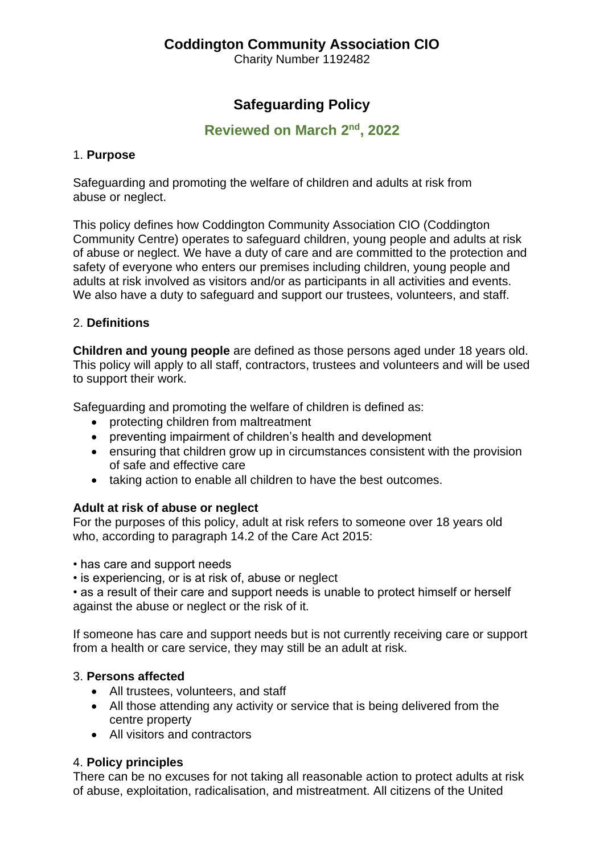# **Coddington Community Association CIO**

Charity Number [1192482](https://register-of-charities.charitycommission.gov.uk/charity-search/-/charity-details/5169519)

# **Safeguarding Policy**

## **Reviewed on March 2<sup>nd</sup>, 2022**

### 1. **Purpose**

Safeguarding and promoting the welfare of children and adults at risk from abuse or neglect.

This policy defines how Coddington Community Association CIO (Coddington Community Centre) operates to safeguard children, young people and adults at risk of abuse or neglect. We have a duty of care and are committed to the protection and safety of everyone who enters our premises including children, young people and adults at risk involved as visitors and/or as participants in all activities and events. We also have a duty to safeguard and support our trustees, volunteers, and staff.

## 2. **Definitions**

**Children and young people** are defined as those persons aged under 18 years old. This policy will apply to all staff, contractors, trustees and volunteers and will be used to support their work.

Safeguarding and promoting the welfare of children is defined as:

- protecting children from maltreatment
- preventing impairment of children's health and development
- ensuring that children grow up in circumstances consistent with the provision of safe and effective care
- taking action to enable all children to have the best outcomes.

#### **Adult at risk of abuse or neglect**

For the purposes of this policy, adult at risk refers to someone over 18 years old who, according to paragraph 14.2 of the Care Act 2015:

• has care and support needs

• is experiencing, or is at risk of, abuse or neglect

• as a result of their care and support needs is unable to protect himself or herself against the abuse or neglect or the risk of it.

If someone has care and support needs but is not currently receiving care or support from a health or care service, they may still be an adult at risk.

#### 3. **Persons affected**

- All trustees, volunteers, and staff
- All those attending any activity or service that is being delivered from the centre property
- All visitors and contractors

## 4. **Policy principles**

There can be no excuses for not taking all reasonable action to protect adults at risk of abuse, exploitation, radicalisation, and mistreatment. All citizens of the United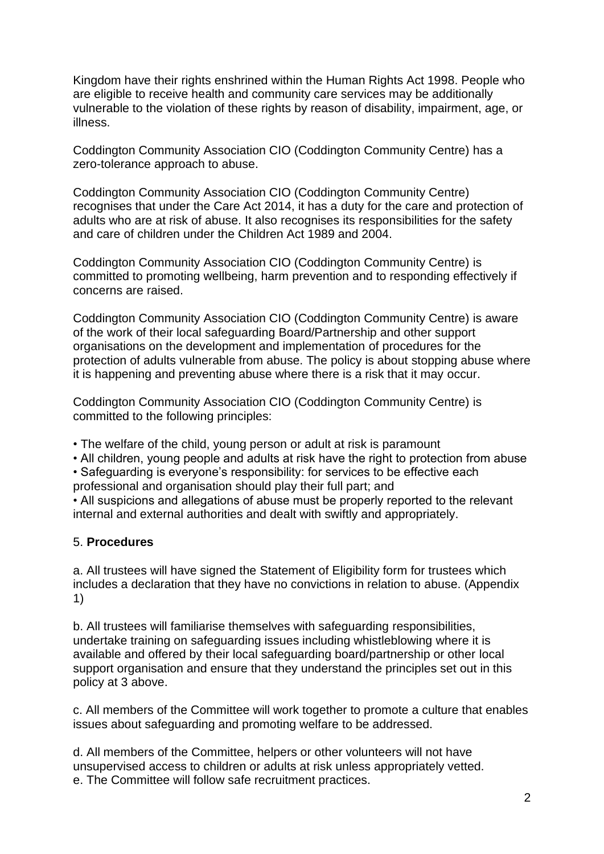Kingdom have their rights enshrined within the Human Rights Act 1998. People who are eligible to receive health and community care services may be additionally vulnerable to the violation of these rights by reason of disability, impairment, age, or illness.

Coddington Community Association CIO (Coddington Community Centre) has a zero-tolerance approach to abuse.

Coddington Community Association CIO (Coddington Community Centre) recognises that under the Care Act 2014, it has a duty for the care and protection of adults who are at risk of abuse. It also recognises its responsibilities for the safety and care of children under the Children Act 1989 and 2004.

Coddington Community Association CIO (Coddington Community Centre) is committed to promoting wellbeing, harm prevention and to responding effectively if concerns are raised.

Coddington Community Association CIO (Coddington Community Centre) is aware of the work of their local safeguarding Board/Partnership and other support organisations on the development and implementation of procedures for the protection of adults vulnerable from abuse. The policy is about stopping abuse where it is happening and preventing abuse where there is a risk that it may occur.

Coddington Community Association CIO (Coddington Community Centre) is committed to the following principles:

• The welfare of the child, young person or adult at risk is paramount

• All children, young people and adults at risk have the right to protection from abuse

• Safeguarding is everyone's responsibility: for services to be effective each professional and organisation should play their full part; and

• All suspicions and allegations of abuse must be properly reported to the relevant internal and external authorities and dealt with swiftly and appropriately.

#### 5. **Procedures**

a. All trustees will have signed the Statement of Eligibility form for trustees which includes a declaration that they have no convictions in relation to abuse. (Appendix 1)

b. All trustees will familiarise themselves with safeguarding responsibilities, undertake training on safeguarding issues including whistleblowing where it is available and offered by their local safeguarding board/partnership or other local support organisation and ensure that they understand the principles set out in this policy at 3 above.

c. All members of the Committee will work together to promote a culture that enables issues about safeguarding and promoting welfare to be addressed.

d. All members of the Committee, helpers or other volunteers will not have unsupervised access to children or adults at risk unless appropriately vetted. e. The Committee will follow safe recruitment practices.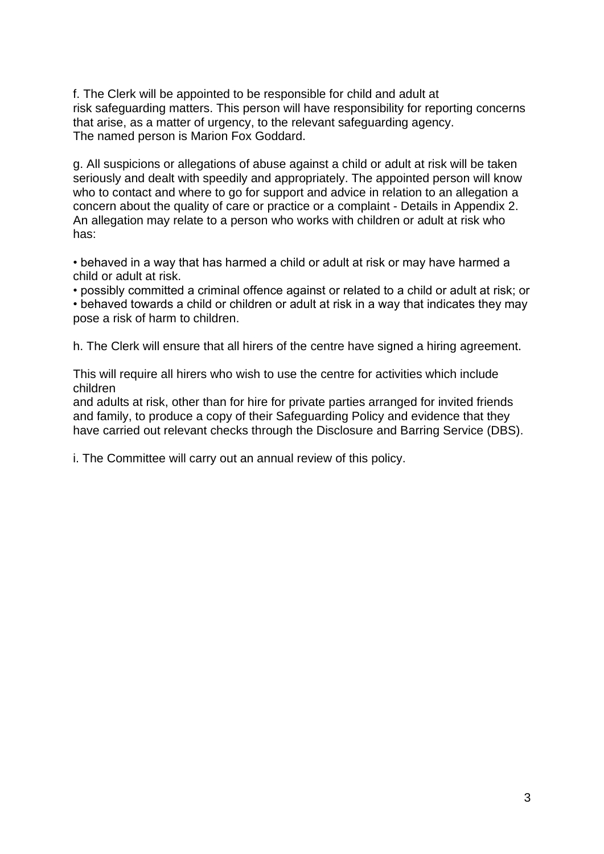f. The Clerk will be appointed to be responsible for child and adult at risk safeguarding matters. This person will have responsibility for reporting concerns that arise, as a matter of urgency, to the relevant safeguarding agency. The named person is Marion Fox Goddard.

g. All suspicions or allegations of abuse against a child or adult at risk will be taken seriously and dealt with speedily and appropriately. The appointed person will know who to contact and where to go for support and advice in relation to an allegation a concern about the quality of care or practice or a complaint - Details in Appendix 2. An allegation may relate to a person who works with children or adult at risk who has:

• behaved in a way that has harmed a child or adult at risk or may have harmed a child or adult at risk.

• possibly committed a criminal offence against or related to a child or adult at risk; or • behaved towards a child or children or adult at risk in a way that indicates they may pose a risk of harm to children.

h. The Clerk will ensure that all hirers of the centre have signed a hiring agreement.

This will require all hirers who wish to use the centre for activities which include children

and adults at risk, other than for hire for private parties arranged for invited friends and family, to produce a copy of their Safeguarding Policy and evidence that they have carried out relevant checks through the Disclosure and Barring Service (DBS).

i. The Committee will carry out an annual review of this policy.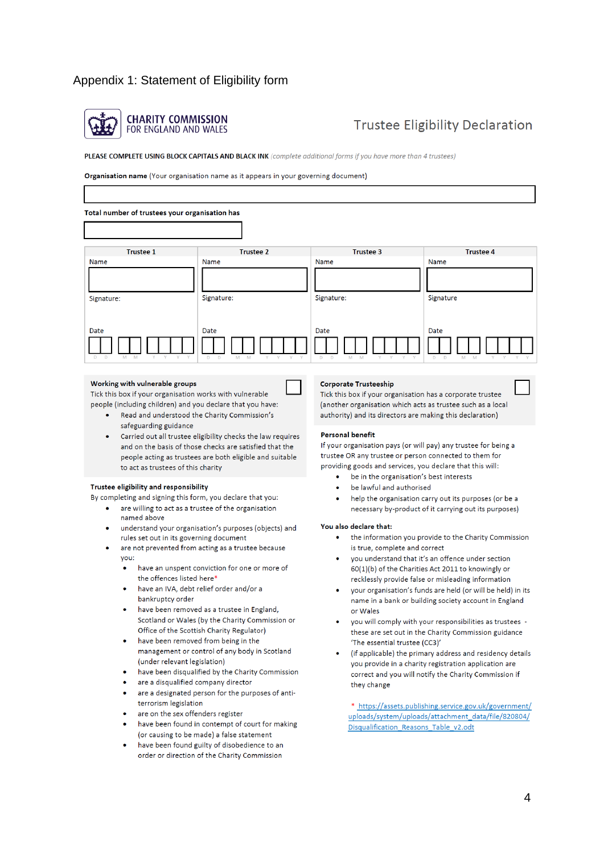### Appendix 1: Statement of Eligibility form



# **Trustee Eligibility Declaration**

PLEASE COMPLETE USING BLOCK CAPITALS AND BLACK INK (complete additional forms if you have more than 4 trustees)

Organisation name (Your organisation name as it appears in your governing document)

| Total number of trustees your organisation has |                       |                            |                  |
|------------------------------------------------|-----------------------|----------------------------|------------------|
| <b>Trustee 1</b>                               | <b>Trustee 2</b>      | Trustee 3                  | <b>Trustee 4</b> |
| Name                                           | Name                  | Name                       | Name             |
|                                                |                       |                            |                  |
| Signature:                                     | Signature:            | Signature:                 | Signature        |
|                                                |                       |                            |                  |
| Date                                           | Date                  | Date                       | Date             |
| D<br>D<br>M<br>M<br>v                          | D<br>D<br>M<br>V<br>M | D<br>D<br>Y<br>v<br>M<br>M | D<br>D<br>M<br>M |

#### Working with vulnerable groups

Tick this box if your organisation works with vulnerable people (including children) and you declare that you have:

- Read and understood the Charity Commission's safeguarding guidance
- Carried out all trustee eligibility checks the law requires and on the basis of those checks are satisfied that the people acting as trustees are both eligible and suitable to act as trustees of this charity

#### Trustee eligibility and responsibility

By completing and signing this form, you declare that you:

- are willing to act as a trustee of the organisation named above
- understand your organisation's purposes (objects) and rules set out in its governing document
- are not prevented from acting as a trustee because vou:
	- have an unspent conviction for one or more of the offences listed here\*
	- have an IVA, debt relief order and/or a bankruptcy order
	- have been removed as a trustee in England, Scotland or Wales (by the Charity Commission or Office of the Scottish Charity Regulator)
	- have been removed from being in the management or control of any body in Scotland (under relevant legislation)
	- have been disqualified by the Charity Commission
	- are a disqualified company director
	- are a designated person for the purposes of antiterrorism legislation
	- are on the sex offenders register
	- have been found in contempt of court for making (or causing to be made) a false statement
	- have been found guilty of disobedience to an order or direction of the Charity Commission

#### **Corporate Trusteeship**

Tick this box if your organisation has a corporate trustee (another organisation which acts as trustee such as a local authority) and its directors are making this declaration)

#### **Personal benefit**

If your organisation pays (or will pay) any trustee for being a trustee OR any trustee or person connected to them for providing goods and services, you declare that this will:

- be in the organisation's best interests  $\bullet$
- be lawful and authorised
- help the organisation carry out its purposes (or be a necessary by-product of it carrying out its purposes)

#### You also declare that:

- the information you provide to the Charity Commission  $\bullet$ is true, complete and correct
- you understand that it's an offence under section 60(1)(b) of the Charities Act 2011 to knowingly or recklessly provide false or misleading information
- your organisation's funds are held (or will be held) in its name in a bank or building society account in England or Wales
- you will comply with your responsibilities as trustees these are set out in the Charity Commission guidance 'The essential trustee (CC3)'
- (if applicable) the primary address and residency details you provide in a charity registration application are correct and you will notify the Charity Commission if they change

\* https://assets.publishing.service.gov.uk/government/ uploads/system/uploads/attachment\_data/file/820804/ Disqualification Reasons Table v2.odt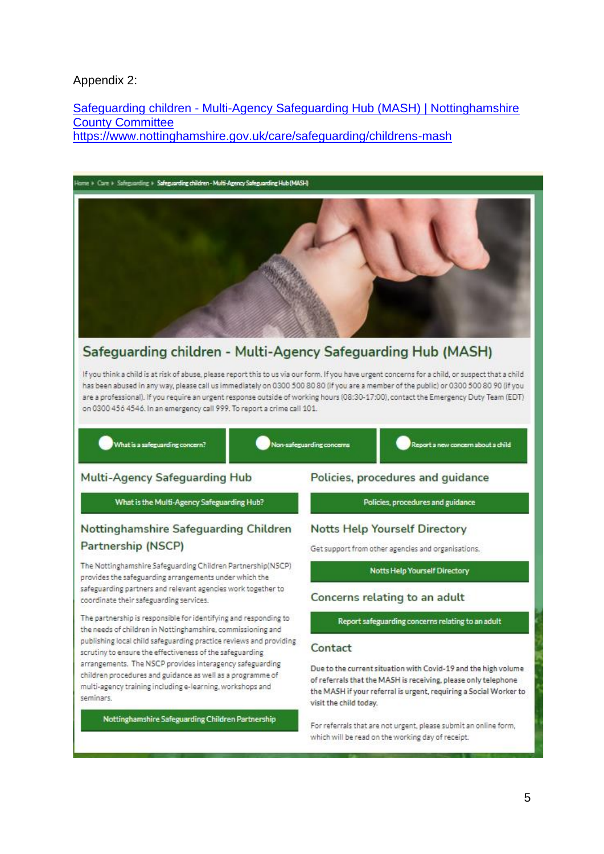#### Appendix 2:

Safeguarding children - Multi-Agency Safeguarding Hub (MASH) | Nottinghamshire **County Committee** https://www.nottinghamshire.gov.uk/care/safeguarding/childrens-mash



# Safeguarding children - Multi-Agency Safeguarding Hub (MASH)

If you think a child is at risk of abuse, please report this to us via our form. If you have urgent concerns for a child, or suspect that a child. has been abused in any way, please call us immediately on 0300 500 80 80 (if you are a member of the public) or 0300 500 80 90 (if you are a professional). If you require an urgent response outside of working hours (08:30-17:00), contact the Emergency Duty Team (EDT) on 0300 456 4546. In an emergency call 999. To report a crime call 101.

#### What is a safeguarding concern?

Non-safeguarding concerns

Report a new concern about a child

#### **Multi-Agency Safeguarding Hub**

What is the Multi-Agency Safeguarding Hub?

### Nottinghamshire Safeguarding Children Partnership (NSCP)

The Nottinghamshire Safeguarding Children Partnership(NSCP) provides the safeguarding arrangements under which the safeguarding partners and relevant agencies work together to coordinate their safeguarding services.

The partnership is responsible for identifying and responding to the needs of children in Nottinghamshire, commissioning and publishing local child safeguarding practice reviews and providing scrutiny to ensure the effectiveness of the safeguarding arrangements. The NSCP provides interagency safeguarding children procedures and guidance as well as a programme of multi-agency training including e-learning, workshops and seminars

Nottinghamshire Safeguarding Children Partnership

#### Policies, procedures and quidance

Policies, procedures and guidance

#### **Notts Help Yourself Directory**

Get support from other agencies and organisations.

Notts Help Yourself Directory

#### Concerns relating to an adult

Report safeguarding concerns relating to an adult

#### Contact

Due to the current situation with Covid-19 and the high volume of referrals that the MASH is receiving, please only telephone the MASH if your referral is urgent, requiring a Social Worker to visit the child today.

For referrals that are not urgent, please submit an online form, which will be read on the working day of receipt.